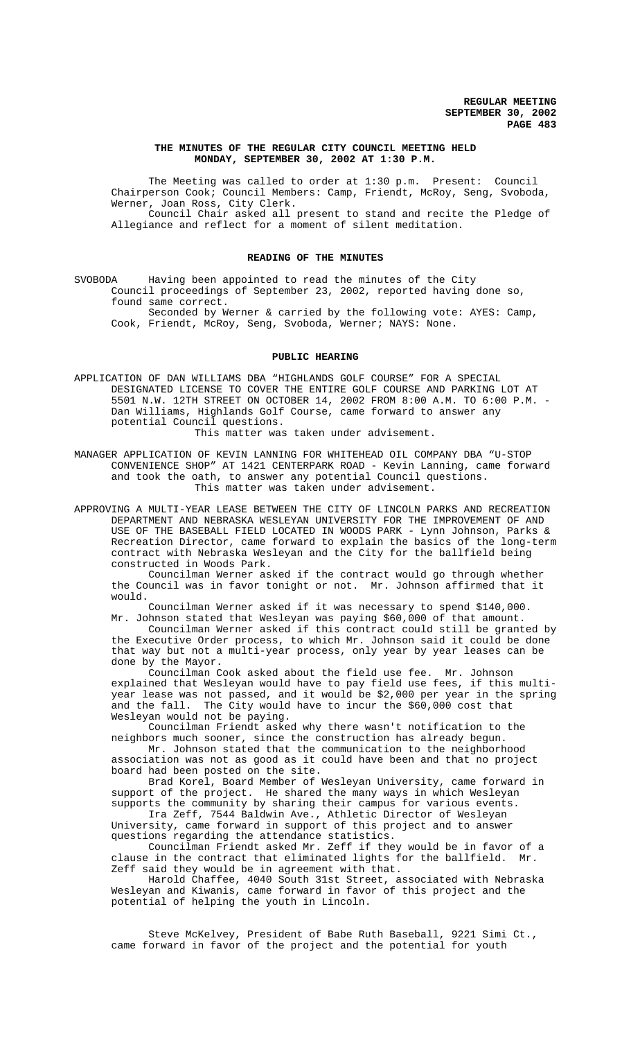## **THE MINUTES OF THE REGULAR CITY COUNCIL MEETING HELD MONDAY, SEPTEMBER 30, 2002 AT 1:30 P.M.**

The Meeting was called to order at 1:30 p.m. Present: Council Chairperson Cook; Council Members: Camp, Friendt, McRoy, Seng, Svoboda, Werner, Joan Ross, City Clerk. Council Chair asked all present to stand and recite the Pledge of Allegiance and reflect for a moment of silent meditation.

#### **READING OF THE MINUTES**

SVOBODA Having been appointed to read the minutes of the City Council proceedings of September 23, 2002, reported having done so, found same correct.

Seconded by Werner & carried by the following vote: AYES: Camp, Cook, Friendt, McRoy, Seng, Svoboda, Werner; NAYS: None.

## **PUBLIC HEARING**

APPLICATION OF DAN WILLIAMS DBA "HIGHLANDS GOLF COURSE" FOR A SPECIAL DESIGNATED LICENSE TO COVER THE ENTIRE GOLF COURSE AND PARKING LOT AT 5501 N.W. 12TH STREET ON OCTOBER 14, 2002 FROM 8:00 A.M. TO 6:00 P.M. - Dan Williams, Highlands Golf Course, came forward to answer any potential Council questions.

This matter was taken under advisement.

MANAGER APPLICATION OF KEVIN LANNING FOR WHITEHEAD OIL COMPANY DBA "U-STOP CONVENIENCE SHOP" AT 1421 CENTERPARK ROAD - Kevin Lanning, came forward and took the oath, to answer any potential Council questions. This matter was taken under advisement.

APPROVING A MULTI-YEAR LEASE BETWEEN THE CITY OF LINCOLN PARKS AND RECREATION DEPARTMENT AND NEBRASKA WESLEYAN UNIVERSITY FOR THE IMPROVEMENT OF AND USE OF THE BASEBALL FIELD LOCATED IN WOODS PARK - Lynn Johnson, Parks & Recreation Director, came forward to explain the basics of the long-term contract with Nebraska Wesleyan and the City for the ballfield being constructed in Woods Park.

Councilman Werner asked if the contract would go through whether the Council was in favor tonight or not. Mr. Johnson affirmed that it would.

Councilman Werner asked if it was necessary to spend \$140,000. Mr. Johnson stated that Wesleyan was paying \$60,000 of that amount.

Councilman Werner asked if this contract could still be granted by the Executive Order process, to which Mr. Johnson said it could be done that way but not a multi-year process, only year by year leases can be done by the Mayor.

Councilman Cook asked about the field use fee. Mr. Johnson explained that Wesleyan would have to pay field use fees, if this multiyear lease was not passed, and it would be \$2,000 per year in the spring and the fall. The City would have to incur the \$60,000 cost that Wesleyan would not be paying.

Councilman Friendt asked why there wasn't notification to the neighbors much sooner, since the construction has already begun.

Mr. Johnson stated that the communication to the neighborhood association was not as good as it could have been and that no project board had been posted on the site.

Brad Korel, Board Member of Wesleyan University, came forward in support of the project. He shared the many ways in which Wesleyan supports the community by sharing their campus for various events.

Ira Zeff, 7544 Baldwin Ave., Athletic Director of Wesleyan University, came forward in support of this project and to answer questions regarding the attendance statistics.

Councilman Friendt asked Mr. Zeff if they would be in favor of a clause in the contract that eliminated lights for the ballfield. Mr. Zeff said they would be in agreement with that.

Harold Chaffee, 4040 South 31st Street, associated with Nebraska Wesleyan and Kiwanis, came forward in favor of this project and the potential of helping the youth in Lincoln.

Steve McKelvey, President of Babe Ruth Baseball, 9221 Simi Ct., came forward in favor of the project and the potential for youth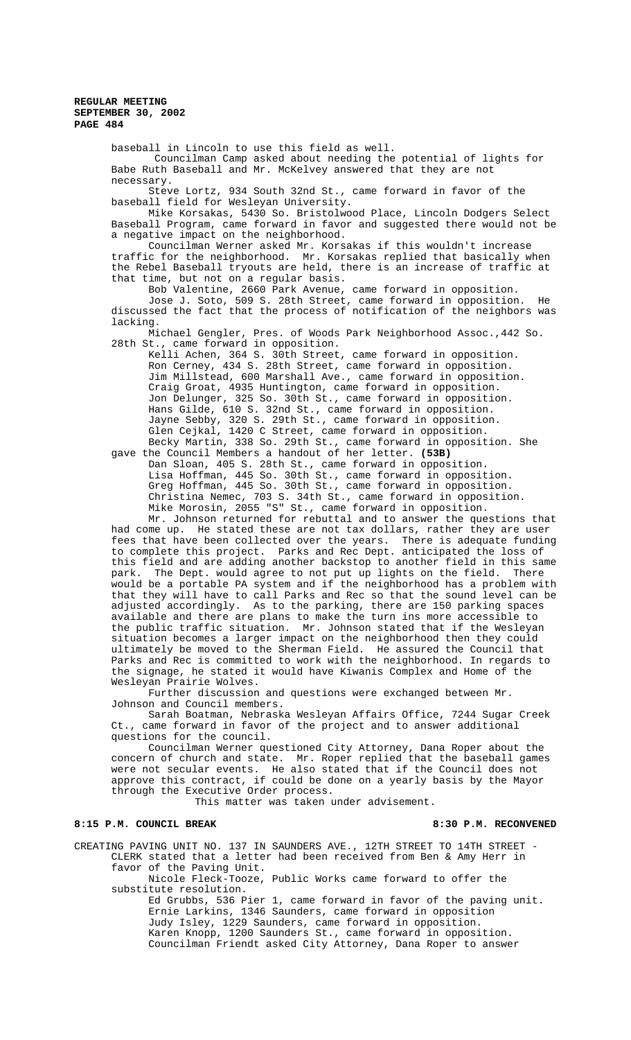baseball in Lincoln to use this field as well.

 Councilman Camp asked about needing the potential of lights for Babe Ruth Baseball and Mr. McKelvey answered that they are not necessary.

Steve Lortz, 934 South 32nd St., came forward in favor of the baseball field for Wesleyan University.

Mike Korsakas, 5430 So. Bristolwood Place, Lincoln Dodgers Select Baseball Program, came forward in favor and suggested there would not be a negative impact on the neighborhood.

Councilman Werner asked Mr. Korsakas if this wouldn't increase traffic for the neighborhood. Mr. Korsakas replied that basically when the Rebel Baseball tryouts are held, there is an increase of traffic at that time, but not on a regular basis.

Bob Valentine, 2660 Park Avenue, came forward in opposition. Jose J. Soto, 509 S. 28th Street, came forward in opposition. He discussed the fact that the process of notification of the neighbors was lacking.

Michael Gengler, Pres. of Woods Park Neighborhood Assoc.,442 So. 28th St., came forward in opposition.

Kelli Achen, 364 S. 30th Street, came forward in opposition. Ron Cerney, 434 S. 28th Street, came forward in opposition. Jim Millstead, 600 Marshall Ave., came forward in opposition. Craig Groat, 4935 Huntington, came forward in opposition. Jon Delunger, 325 So. 30th St., came forward in opposition. Hans Gilde, 610 S. 32nd St., came forward in opposition. Jayne Sebby, 320 S. 29th St., came forward in opposition. Guile Cejkal, 1420 C Street, came forward in opposition.

Becky Martin, 338 So. 29th St., came forward in opposition. She gave the Council Members a handout of her letter. **(53B)** Dan Sloan, 405 S. 28th St., came forward in opposition. Lisa Hoffman, 445 So. 30th St., came forward in opposition. Greg Hoffman, 445 So. 30th St., came forward in opposition.

Christina Nemec, 703 S. 34th St., came forward in opposition. Mike Morosin, 2055 "S" St., came forward in opposition.

Mr. Johnson returned for rebuttal and to answer the questions that had come up. He stated these are not tax dollars, rather they are user fees that have been collected over the years. There is adequate funding to complete this project. Parks and Rec Dept. anticipated the loss of this field and are adding another backstop to another field in this same park. The Dept. would agree to not put up lights on the field. There would be a portable PA system and if the neighborhood has a problem with that they will have to call Parks and Rec so that the sound level can be adjusted accordingly. As to the parking, there are 150 parking spaces available and there are plans to make the turn ins more accessible to the public traffic situation. Mr. Johnson stated that if the Wesleyan situation becomes a larger impact on the neighborhood then they could ultimately be moved to the Sherman Field. He assured the Council that Parks and Rec is committed to work with the neighborhood. In regards to the signage, he stated it would have Kiwanis Complex and Home of the Wesleyan Prairie Wolves.

Further discussion and questions were exchanged between Mr. Johnson and Council members.

Sarah Boatman, Nebraska Wesleyan Affairs Office, 7244 Sugar Creek Ct., came forward in favor of the project and to answer additional questions for the council.

Councilman Werner questioned City Attorney, Dana Roper about the concern of church and state. Mr. Roper replied that the baseball games were not secular events. He also stated that if the Council does not approve this contract, if could be done on a yearly basis by the Mayor through the Executive Order process.

This matter was taken under advisement.

# 8:15 P.M. COUNCIL BREAK 8:30 P.M. RECONVENED

CREATING PAVING UNIT NO. 137 IN SAUNDERS AVE., 12TH STREET TO 14TH STREET - CLERK stated that a letter had been received from Ben & Amy Herr in favor of the Paving Unit.

Nicole Fleck-Tooze, Public Works came forward to offer the substitute resolution.

Ed Grubbs, 536 Pier 1, came forward in favor of the paving unit. Ernie Larkins, 1346 Saunders, came forward in opposition Judy Isley, 1229 Saunders, came forward in opposition. Karen Knopp, 1200 Saunders St., came forward in opposition. Councilman Friendt asked City Attorney, Dana Roper to answer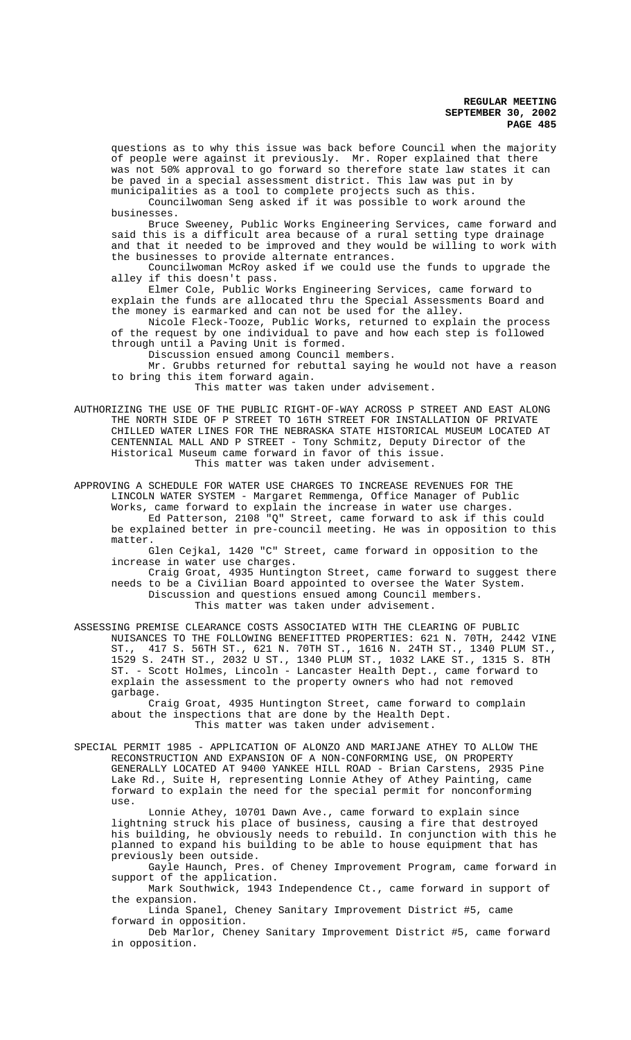questions as to why this issue was back before Council when the majority of people were against it previously. Mr. Roper explained that there was not 50% approval to go forward so therefore state law states it can be paved in a special assessment district. This law was put in by municipalities as a tool to complete projects such as this.

Councilwoman Seng asked if it was possible to work around the businesses.

Bruce Sweeney, Public Works Engineering Services, came forward and said this is a difficult area because of a rural setting type drainage and that it needed to be improved and they would be willing to work with the businesses to provide alternate entrances.

Councilwoman McRoy asked if we could use the funds to upgrade the alley if this doesn't pass.

Elmer Cole, Public Works Engineering Services, came forward to explain the funds are allocated thru the Special Assessments Board and the money is earmarked and can not be used for the alley.

Nicole Fleck-Tooze, Public Works, returned to explain the process of the request by one individual to pave and how each step is followed through until a Paving Unit is formed.

Discussion ensued among Council members.

Mr. Grubbs returned for rebuttal saying he would not have a reason to bring this item forward again.

This matter was taken under advisement.

AUTHORIZING THE USE OF THE PUBLIC RIGHT-OF-WAY ACROSS P STREET AND EAST ALONG THE NORTH SIDE OF P STREET TO 16TH STREET FOR INSTALLATION OF PRIVATE CHILLED WATER LINES FOR THE NEBRASKA STATE HISTORICAL MUSEUM LOCATED AT CENTENNIAL MALL AND P STREET - Tony Schmitz, Deputy Director of the Historical Museum came forward in favor of this issue. This matter was taken under advisement.

APPROVING A SCHEDULE FOR WATER USE CHARGES TO INCREASE REVENUES FOR THE LINCOLN WATER SYSTEM - Margaret Remmenga, Office Manager of Public Works, came forward to explain the increase in water use charges. Ed Patterson, 2108 "Q" Street, came forward to ask if this could be explained better in pre-council meeting. He was in opposition to this matter.

Glen Cejkal, 1420 "C" Street, came forward in opposition to the increase in water use charges.

Craig Groat, 4935 Huntington Street, came forward to suggest there needs to be a Civilian Board appointed to oversee the Water System. Discussion and questions ensued among Council members. This matter was taken under advisement.

ASSESSING PREMISE CLEARANCE COSTS ASSOCIATED WITH THE CLEARING OF PUBLIC NUISANCES TO THE FOLLOWING BENEFITTED PROPERTIES: 621 N. 70TH, 2442 VINE ST., 417 S. 56TH ST., 621 N. 70TH ST., 1616 N. 24TH ST., 1340 PLUM ST., 1529 S. 24TH ST., 2032 U ST., 1340 PLUM ST., 1032 LAKE ST., 1315 S. 8TH ST. - Scott Holmes, Lincoln - Lancaster Health Dept., came forward to explain the assessment to the property owners who had not removed garbage.

Craig Groat, 4935 Huntington Street, came forward to complain about the inspections that are done by the Health Dept. This matter was taken under advisement.

SPECIAL PERMIT 1985 - APPLICATION OF ALONZO AND MARIJANE ATHEY TO ALLOW THE RECONSTRUCTION AND EXPANSION OF A NON-CONFORMING USE, ON PROPERTY GENERALLY LOCATED AT 9400 YANKEE HILL ROAD - Brian Carstens, 2935 Pine Lake Rd., Suite H, representing Lonnie Athey of Athey Painting, came forward to explain the need for the special permit for nonconforming use.

Lonnie Athey, 10701 Dawn Ave., came forward to explain since lightning struck his place of business, causing a fire that destroyed his building, he obviously needs to rebuild. In conjunction with this he planned to expand his building to be able to house equipment that has previously been outside.

Gayle Haunch, Pres. of Cheney Improvement Program, came forward in support of the application.

Mark Southwick, 1943 Independence Ct., came forward in support of the expansion.

Linda Spanel, Cheney Sanitary Improvement District #5, came forward in opposition.

Deb Marlor, Cheney Sanitary Improvement District #5, came forward in opposition.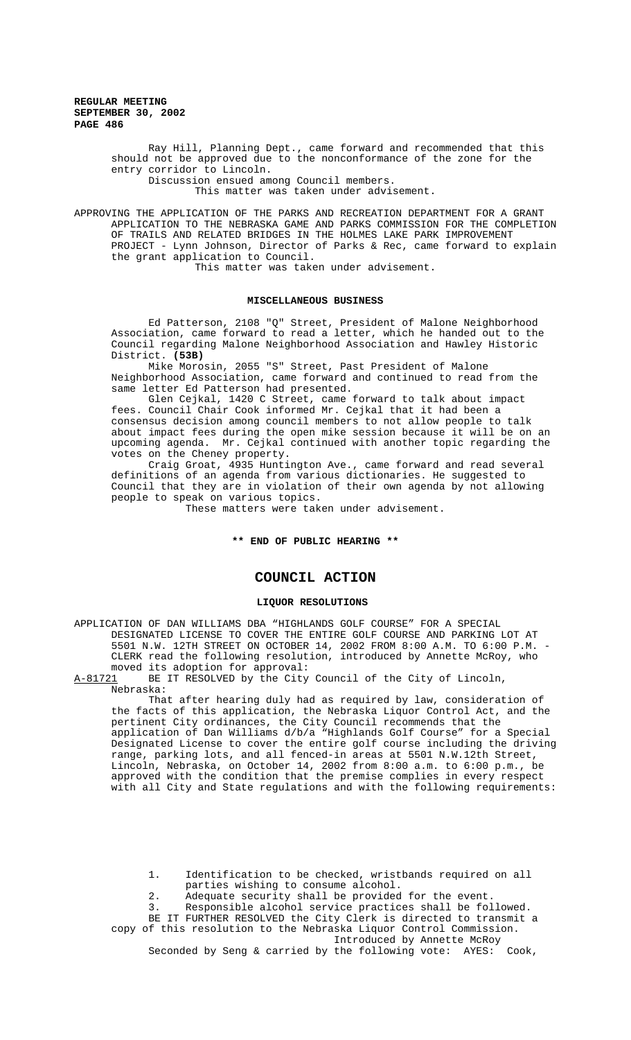> Ray Hill, Planning Dept., came forward and recommended that this should not be approved due to the nonconformance of the zone for the entry corridor to Lincoln. Discussion ensued among Council members.

This matter was taken under advisement.

APPROVING THE APPLICATION OF THE PARKS AND RECREATION DEPARTMENT FOR A GRANT APPLICATION TO THE NEBRASKA GAME AND PARKS COMMISSION FOR THE COMPLETION OF TRAILS AND RELATED BRIDGES IN THE HOLMES LAKE PARK IMPROVEMENT PROJECT - Lynn Johnson, Director of Parks & Rec, came forward to explain the grant application to Council.

This matter was taken under advisement.

## **MISCELLANEOUS BUSINESS**

Ed Patterson, 2108 "Q" Street, President of Malone Neighborhood Association, came forward to read a letter, which he handed out to the Council regarding Malone Neighborhood Association and Hawley Historic District. **(53B)**

Mike Morosin, 2055 "S" Street, Past President of Malone Neighborhood Association, came forward and continued to read from the same letter Ed Patterson had presented.

Glen Cejkal, 1420 C Street, came forward to talk about impact fees. Council Chair Cook informed Mr. Cejkal that it had been a consensus decision among council members to not allow people to talk about impact fees during the open mike session because it will be on an upcoming agenda. Mr. Cejkal continued with another topic regarding the votes on the Cheney property.

Craig Groat, 4935 Huntington Ave., came forward and read several definitions of an agenda from various dictionaries. He suggested to Council that they are in violation of their own agenda by not allowing people to speak on various topics.

These matters were taken under advisement.

#### **\*\* END OF PUBLIC HEARING \*\***

# **COUNCIL ACTION**

#### **LIQUOR RESOLUTIONS**

APPLICATION OF DAN WILLIAMS DBA "HIGHLANDS GOLF COURSE" FOR A SPECIAL DESIGNATED LICENSE TO COVER THE ENTIRE GOLF COURSE AND PARKING LOT AT 5501 N.W. 12TH STREET ON OCTOBER 14, 2002 FROM 8:00 A.M. TO 6:00 P.M. - CLERK read the following resolution, introduced by Annette McRoy, who moved its adoption for approval:<br>A-81721 BE IT RESOLVED by the City

BE IT RESOLVED by the City Council of the City of Lincoln, Nebraska:

That after hearing duly had as required by law, consideration of the facts of this application, the Nebraska Liquor Control Act, and the pertinent City ordinances, the City Council recommends that the application of Dan Williams d/b/a "Highlands Golf Course" for a Special Designated License to cover the entire golf course including the driving range, parking lots, and all fenced-in areas at 5501 N.W.12th Street, Lincoln, Nebraska, on October 14, 2002 from 8:00 a.m. to 6:00 p.m., be approved with the condition that the premise complies in every respect with all City and State regulations and with the following requirements:

1. Identification to be checked, wristbands required on all parties wishing to consume alcohol.

2. Adequate security shall be provided for the event.

3. Responsible alcohol service practices shall be followed. BE IT FURTHER RESOLVED the City Clerk is directed to transmit a

copy of this resolution to the Nebraska Liquor Control Commission. Introduced by Annette McRoy

Seconded by Seng & carried by the following vote: AYES: Cook,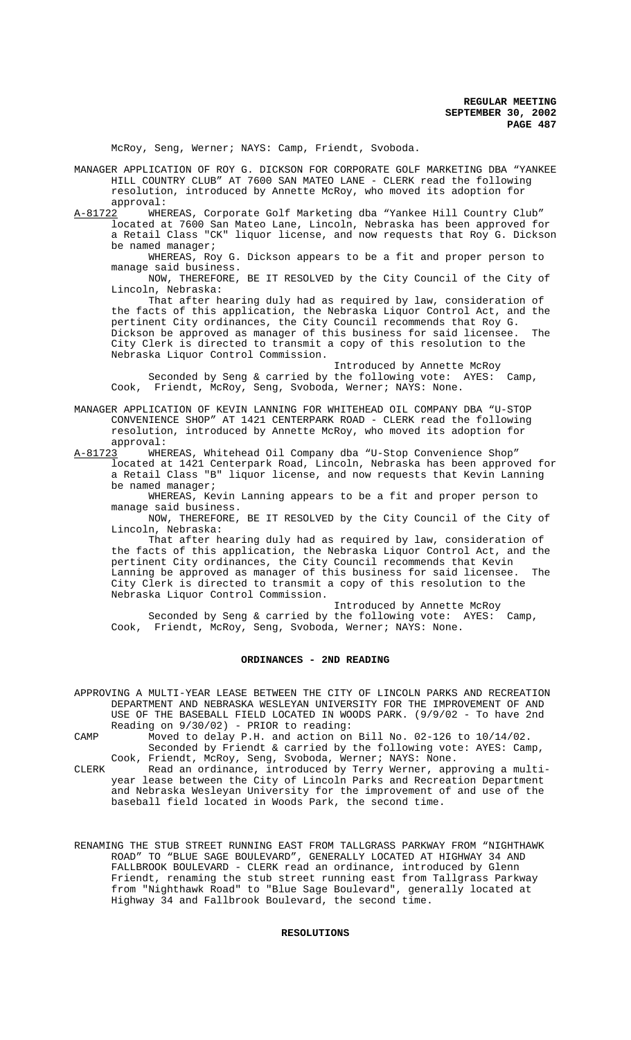McRoy, Seng, Werner; NAYS: Camp, Friendt, Svoboda.

MANAGER APPLICATION OF ROY G. DICKSON FOR CORPORATE GOLF MARKETING DBA "YANKEE HILL COUNTRY CLUB" AT 7600 SAN MATEO LANE - CLERK read the following resolution, introduced by Annette McRoy, who moved its adoption for approval:

A-81722 WHEREAS, Corporate Golf Marketing dba "Yankee Hill Country Club" located at 7600 San Mateo Lane, Lincoln, Nebraska has been approved for a Retail Class "CK" liquor license, and now requests that Roy G. Dickson be named manager;

WHEREAS, Roy G. Dickson appears to be a fit and proper person to manage said business.

NOW, THEREFORE, BE IT RESOLVED by the City Council of the City of Lincoln, Nebraska:

That after hearing duly had as required by law, consideration of the facts of this application, the Nebraska Liquor Control Act, and the pertinent City ordinances, the City Council recommends that Roy G. Dickson be approved as manager of this business for said licensee. The City Clerk is directed to transmit a copy of this resolution to the Nebraska Liquor Control Commission.

Introduced by Annette McRoy Seconded by Seng & carried by the following vote: AYES: Camp, Cook, Friendt, McRoy, Seng, Svoboda, Werner; NAYS: None.

MANAGER APPLICATION OF KEVIN LANNING FOR WHITEHEAD OIL COMPANY DBA "U-STOP CONVENIENCE SHOP" AT 1421 CENTERPARK ROAD - CLERK read the following resolution, introduced by Annette McRoy, who moved its adoption for approval:

A-81723 WHEREAS, Whitehead Oil Company dba "U-Stop Convenience Shop" located at 1421 Centerpark Road, Lincoln, Nebraska has been approved for a Retail Class "B" liquor license, and now requests that Kevin Lanning be named manager;

WHEREAS, Kevin Lanning appears to be a fit and proper person to manage said business.

NOW, THEREFORE, BE IT RESOLVED by the City Council of the City of Lincoln, Nebraska:

That after hearing duly had as required by law, consideration of the facts of this application, the Nebraska Liquor Control Act, and the pertinent City ordinances, the City Council recommends that Kevin Lanning be approved as manager of this business for said licensee. The City Clerk is directed to transmit a copy of this resolution to the Nebraska Liquor Control Commission.

Introduced by Annette McRoy Seconded by Seng & carried by the following vote: AYES: Camp, Cook, Friendt, McRoy, Seng, Svoboda, Werner; NAYS: None.

# **ORDINANCES - 2ND READING**

APPROVING A MULTI-YEAR LEASE BETWEEN THE CITY OF LINCOLN PARKS AND RECREATION DEPARTMENT AND NEBRASKA WESLEYAN UNIVERSITY FOR THE IMPROVEMENT OF AND USE OF THE BASEBALL FIELD LOCATED IN WOODS PARK. (9/9/02 - To have 2nd Reading on 9/30/02) - PRIOR to reading:

CAMP Moved to delay P.H. and action on Bill No. 02-126 to 10/14/02. Seconded by Friendt & carried by the following vote: AYES: Camp, Cook, Friendt, McRoy, Seng, Svoboda, Werner; NAYS: None.

CLERK Read an ordinance, introduced by Terry Werner, approving a multiyear lease between the City of Lincoln Parks and Recreation Department and Nebraska Wesleyan University for the improvement of and use of the baseball field located in Woods Park, the second time.

RENAMING THE STUB STREET RUNNING EAST FROM TALLGRASS PARKWAY FROM "NIGHTHAWK ROAD" TO "BLUE SAGE BOULEVARD", GENERALLY LOCATED AT HIGHWAY 34 AND FALLBROOK BOULEVARD - CLERK read an ordinance, introduced by Glenn Friendt, renaming the stub street running east from Tallgrass Parkway from "Nighthawk Road" to "Blue Sage Boulevard", generally located at Highway 34 and Fallbrook Boulevard, the second time.

# **RESOLUTIONS**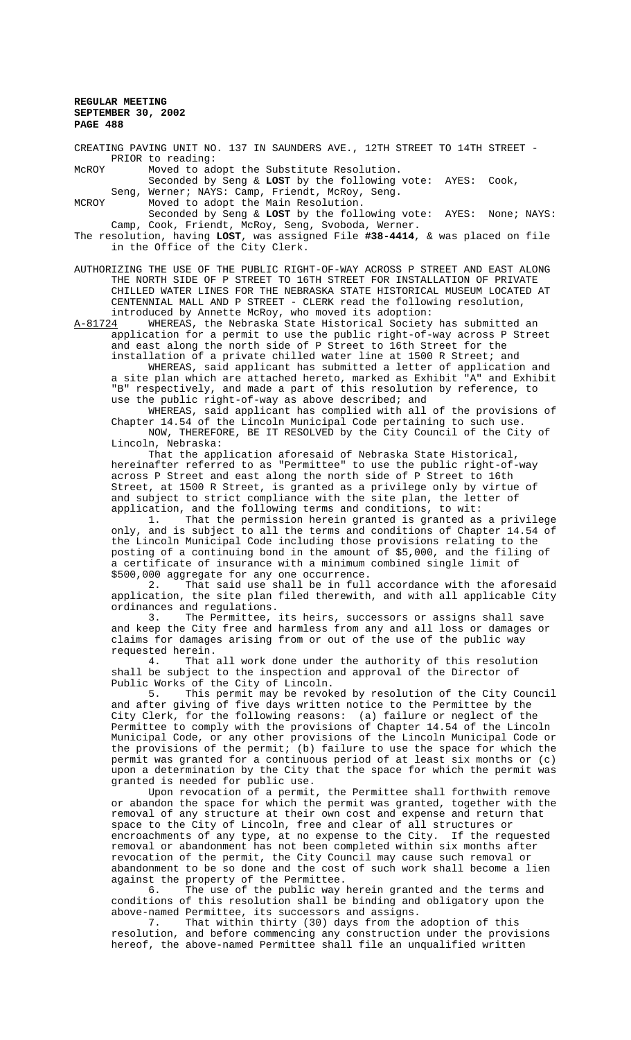CREATING PAVING UNIT NO. 137 IN SAUNDERS AVE., 12TH STREET TO 14TH STREET - PRIOR to reading:

McROY Moved to adopt the Substitute Resolution. Seconded by Seng & **LOST** by the following vote: AYES: Cook, Seng, Werner; NAYS: Camp, Friendt, McRoy, Seng.

MCROY Moved to adopt the Main Resolution.

Seconded by Seng & **LOST** by the following vote: AYES: None; NAYS: Camp, Cook, Friendt, McRoy, Seng, Svoboda, Werner.

The resolution, having **LOST**, was assigned File **#38-4414**, & was placed on file in the Office of the City Clerk.

AUTHORIZING THE USE OF THE PUBLIC RIGHT-OF-WAY ACROSS P STREET AND EAST ALONG THE NORTH SIDE OF P STREET TO 16TH STREET FOR INSTALLATION OF PRIVATE CHILLED WATER LINES FOR THE NEBRASKA STATE HISTORICAL MUSEUM LOCATED AT CENTENNIAL MALL AND P STREET - CLERK read the following resolution, introduced by Annette McRoy, who moved its adoption:

A-81724 WHEREAS, the Nebraska State Historical Society has submitted an application for a permit to use the public right-of-way across P Street and east along the north side of P Street to 16th Street for the installation of a private chilled water line at 1500 R Street; and

WHEREAS, said applicant has submitted a letter of application and a site plan which are attached hereto, marked as Exhibit "A" and Exhibit "B" respectively, and made a part of this resolution by reference, to use the public right-of-way as above described; and

WHEREAS, said applicant has complied with all of the provisions of Chapter 14.54 of the Lincoln Municipal Code pertaining to such use. NOW, THEREFORE, BE IT RESOLVED by the City Council of the City of Lincoln, Nebraska:

That the application aforesaid of Nebraska State Historical, hereinafter referred to as "Permittee" to use the public right-of-way across P Street and east along the north side of P Street to 16th Street, at 1500 R Street, is granted as a privilege only by virtue of and subject to strict compliance with the site plan, the letter of application, and the following terms and conditions, to wit:

1. That the permission herein granted is granted as a privilege only, and is subject to all the terms and conditions of Chapter 14.54 of the Lincoln Municipal Code including those provisions relating to the posting of a continuing bond in the amount of \$5,000, and the filing of a certificate of insurance with a minimum combined single limit of \$500,000 aggregate for any one occurrence.<br>2. That said use shall be in full

That said use shall be in full accordance with the aforesaid application, the site plan filed therewith, and with all applicable City ordinances and regulations.

3. The Permittee, its heirs, successors or assigns shall save and keep the City free and harmless from any and all loss or damages or claims for damages arising from or out of the use of the public way

requested herein.<br>4. That That all work done under the authority of this resolution shall be subject to the inspection and approval of the Director of Public Works of the City of Lincoln.<br>5. This permit may be revok

This permit may be revoked by resolution of the City Council and after giving of five days written notice to the Permittee by the City Clerk, for the following reasons: (a) failure or neglect of the Permittee to comply with the provisions of Chapter 14.54 of the Lincoln Municipal Code, or any other provisions of the Lincoln Municipal Code or the provisions of the permit; (b) failure to use the space for which the permit was granted for a continuous period of at least six months or (c) upon a determination by the City that the space for which the permit was granted is needed for public use.

Upon revocation of a permit, the Permittee shall forthwith remove or abandon the space for which the permit was granted, together with the removal of any structure at their own cost and expense and return that space to the City of Lincoln, free and clear of all structures or encroachments of any type, at no expense to the City. If the requested removal or abandonment has not been completed within six months after revocation of the permit, the City Council may cause such removal or abandonment to be so done and the cost of such work shall become a lien against the property of the Permittee.

6. The use of the public way herein granted and the terms and conditions of this resolution shall be binding and obligatory upon the above-named Permittee, its successors and assigns.<br>7. That within thirty (30) days from the adoption of this

7. That within thirty (30) days from the adoption of this resolution, and before commencing any construction under the provisions hereof, the above-named Permittee shall file an unqualified written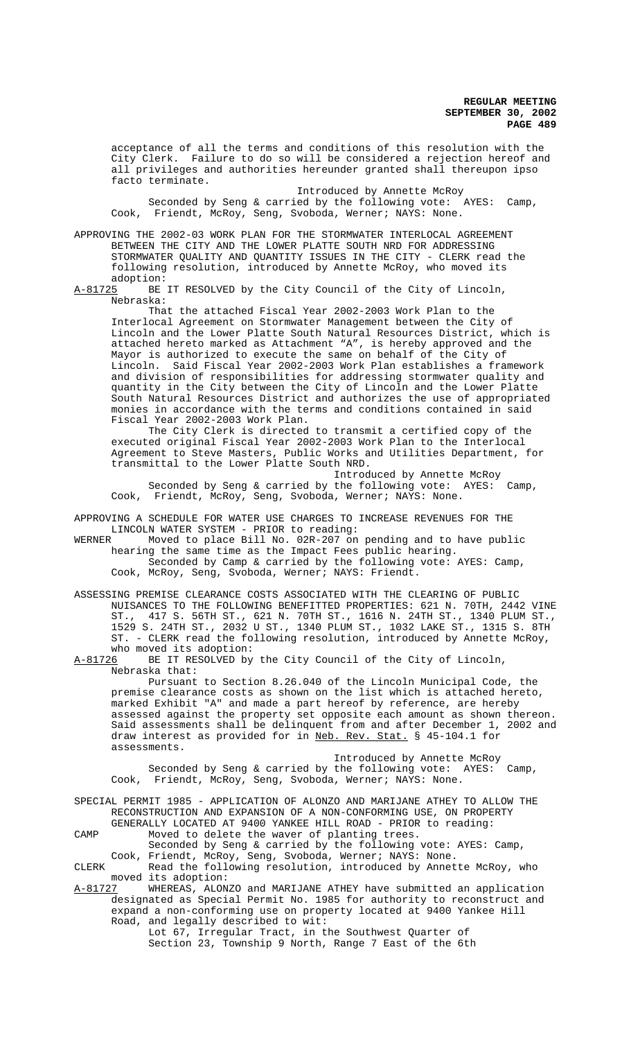acceptance of all the terms and conditions of this resolution with the City Clerk. Failure to do so will be considered a rejection hereof and all privileges and authorities hereunder granted shall thereupon ipso facto terminate.

Introduced by Annette McRoy

Seconded by Seng & carried by the following vote: AYES: Camp, Cook, Friendt, McRoy, Seng, Svoboda, Werner; NAYS: None.

APPROVING THE 2002-03 WORK PLAN FOR THE STORMWATER INTERLOCAL AGREEMENT BETWEEN THE CITY AND THE LOWER PLATTE SOUTH NRD FOR ADDRESSING STORMWATER QUALITY AND QUANTITY ISSUES IN THE CITY - CLERK read the following resolution, introduced by Annette McRoy, who moved its

adoption:<br>A-81725 BE BE IT RESOLVED by the City Council of the City of Lincoln, Nebraska:

That the attached Fiscal Year 2002-2003 Work Plan to the Interlocal Agreement on Stormwater Management between the City of Lincoln and the Lower Platte South Natural Resources District, which is attached hereto marked as Attachment "A", is hereby approved and the Mayor is authorized to execute the same on behalf of the City of Lincoln. Said Fiscal Year 2002-2003 Work Plan establishes a framework and division of responsibilities for addressing stormwater quality and quantity in the City between the City of Lincoln and the Lower Platte South Natural Resources District and authorizes the use of appropriated monies in accordance with the terms and conditions contained in said Fiscal Year 2002-2003 Work Plan.

The City Clerk is directed to transmit a certified copy of the executed original Fiscal Year 2002-2003 Work Plan to the Interlocal Agreement to Steve Masters, Public Works and Utilities Department, for transmittal to the Lower Platte South NRD.

Introduced by Annette McRoy Seconded by Seng & carried by the following vote: AYES: Camp, Cook, Friendt, McRoy, Seng, Svoboda, Werner; NAYS: None.

APPROVING A SCHEDULE FOR WATER USE CHARGES TO INCREASE REVENUES FOR THE LINCOLN WATER SYSTEM - PRIOR to reading:<br>WERNER Moved to place Bill No. 02R-207 on

Moved to place Bill No. 02R-207 on pending and to have public hearing the same time as the Impact Fees public hearing. Seconded by Camp & carried by the following vote: AYES: Camp, Cook, McRoy, Seng, Svoboda, Werner; NAYS: Friendt.

ASSESSING PREMISE CLEARANCE COSTS ASSOCIATED WITH THE CLEARING OF PUBLIC NUISANCES TO THE FOLLOWING BENEFITTED PROPERTIES: 621 N. 70TH, 2442 VINE ST., 417 S. 56TH ST., 621 N. 70TH ST., 1616 N. 24TH ST., 1340 PLUM ST., 1529 S. 24TH ST., 2032 U ST., 1340 PLUM ST., 1032 LAKE ST., 1315 S. 8TH ST. - CLERK read the following resolution, introduced by Annette McRoy,

who moved its adoption:<br>A-81726 BE IT RESOLVED by BE IT RESOLVED by the City Council of the City of Lincoln, Nebraska that: Pursuant to Section 8.26.040 of the Lincoln Municipal Code, the premise clearance costs as shown on the list which is attached hereto, marked Exhibit "A" and made a part hereof by reference, are hereby assessed against the property set opposite each amount as shown thereon. Said assessments shall be delinquent from and after December 1, 2002 and draw interest as provided for in Neb. Rev. Stat. § 45-104.1 for assessments.

Introduced by Annette McRoy Seconded by Seng & carried by the following vote: AYES: Camp, Cook, Friendt, McRoy, Seng, Svoboda, Werner; NAYS: None.

SPECIAL PERMIT 1985 - APPLICATION OF ALONZO AND MARIJANE ATHEY TO ALLOW THE RECONSTRUCTION AND EXPANSION OF A NON-CONFORMING USE, ON PROPERTY GENERALLY LOCATED AT 9400 YANKEE HILL ROAD - PRIOR to reading:

CAMP Moved to delete the waver of planting trees.

Seconded by Seng & carried by the following vote: AYES: Camp, Cook, Friendt, McRoy, Seng, Svoboda, Werner; NAYS: None.

CLERK Read the following resolution, introduced by Annette McRoy, who moved its adoption:

A-81727 WHEREAS, ALONZO and MARIJANE ATHEY have submitted an application designated as Special Permit No. 1985 for authority to reconstruct and expand a non-conforming use on property located at 9400 Yankee Hill Road, and legally described to wit:

Lot 67, Irregular Tract, in the Southwest Quarter of Section 23, Township 9 North, Range 7 East of the 6th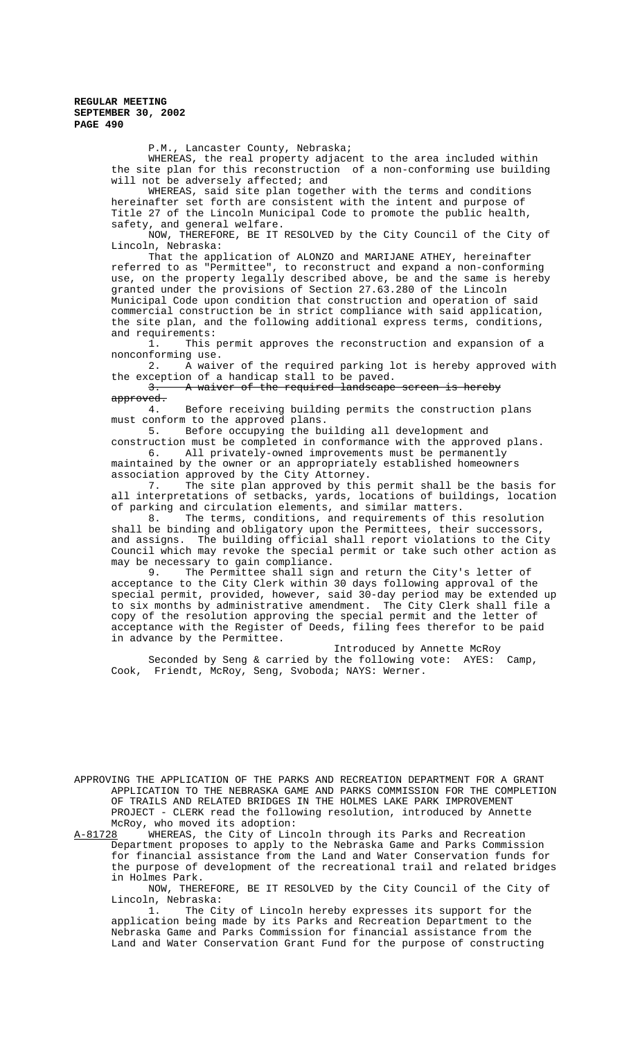P.M., Lancaster County, Nebraska;

WHEREAS, the real property adjacent to the area included within the site plan for this reconstruction of a non-conforming use building will not be adversely affected; and

WHEREAS, said site plan together with the terms and conditions hereinafter set forth are consistent with the intent and purpose of Title 27 of the Lincoln Municipal Code to promote the public health, safety, and general welfare.

NOW, THEREFORE, BE IT RESOLVED by the City Council of the City of Lincoln, Nebraska:

That the application of ALONZO and MARIJANE ATHEY, hereinafter referred to as "Permittee", to reconstruct and expand a non-conforming use, on the property legally described above, be and the same is hereby granted under the provisions of Section 27.63.280 of the Lincoln Municipal Code upon condition that construction and operation of said commercial construction be in strict compliance with said application, the site plan, and the following additional express terms, conditions, and requirements:

1. This permit approves the reconstruction and expansion of a nonconforming use.

2. A waiver of the required parking lot is hereby approved with the exception of a handicap stall to be paved.

3. A waiver of the required landscape screen is hereby approved.<br>4.

Before receiving building permits the construction plans must conform to the approved plans.

5. Before occupying the building all development and construction must be completed in conformance with the approved plans.

6. All privately-owned improvements must be permanently maintained by the owner or an appropriately established homeowners association approved by the City Attorney.

7. The site plan approved by this permit shall be the basis for all interpretations of setbacks, yards, locations of buildings, location of parking and circulation elements, and similar matters.<br>8. The terms, conditions, and requirements of the

The terms, conditions, and requirements of this resolution shall be binding and obligatory upon the Permittees, their successors, and assigns. The building official shall report violations to the City Council which may revoke the special permit or take such other action as may be necessary to gain compliance.

9. The Permittee shall sign and return the City's letter of acceptance to the City Clerk within 30 days following approval of the special permit, provided, however, said 30-day period may be extended up to six months by administrative amendment. The City Clerk shall file a copy of the resolution approving the special permit and the letter of acceptance with the Register of Deeds, filing fees therefor to be paid in advance by the Permittee.

Introduced by Annette McRoy Seconded by Seng & carried by the following vote: AYES: Camp, Cook, Friendt, McRoy, Seng, Svoboda; NAYS: Werner.

APPROVING THE APPLICATION OF THE PARKS AND RECREATION DEPARTMENT FOR A GRANT APPLICATION TO THE NEBRASKA GAME AND PARKS COMMISSION FOR THE COMPLETION OF TRAILS AND RELATED BRIDGES IN THE HOLMES LAKE PARK IMPROVEMENT PROJECT - CLERK read the following resolution, introduced by Annette

McRoy, who moved its adoption:<br>A-81728 WHEREAS, the City of Lin WHEREAS, the City of Lincoln through its Parks and Recreation Department proposes to apply to the Nebraska Game and Parks Commission for financial assistance from the Land and Water Conservation funds for the purpose of development of the recreational trail and related bridges in Holmes Park.

NOW, THEREFORE, BE IT RESOLVED by the City Council of the City of Lincoln, Nebraska:<br>1. The Ci

The City of Lincoln hereby expresses its support for the application being made by its Parks and Recreation Department to the Nebraska Game and Parks Commission for financial assistance from the Land and Water Conservation Grant Fund for the purpose of constructing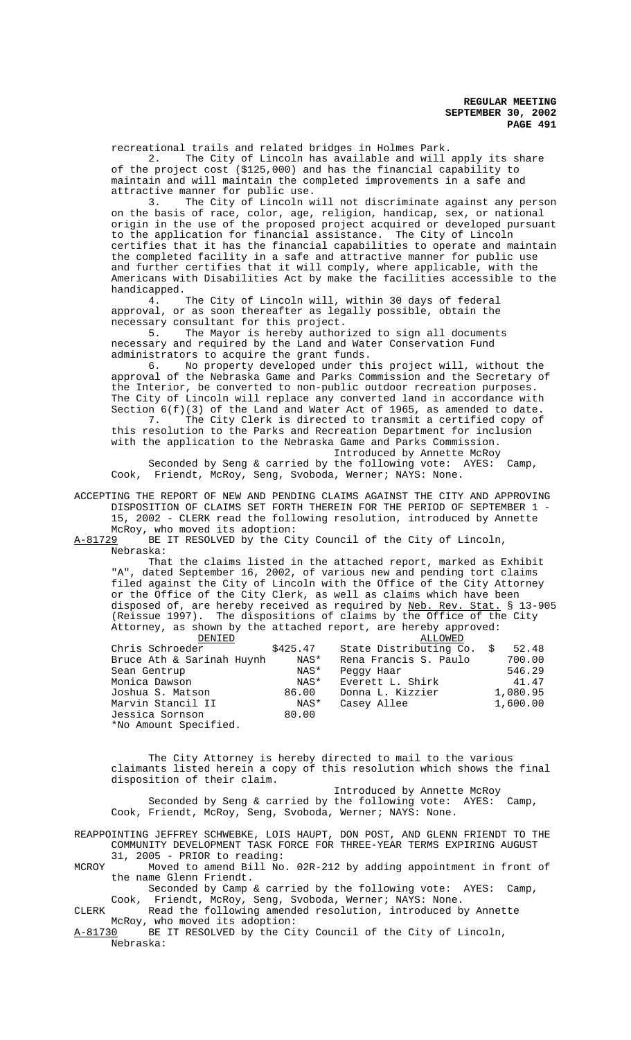recreational trails and related bridges in Holmes Park.

2. The City of Lincoln has available and will apply its share of the project cost (\$125,000) and has the financial capability to maintain and will maintain the completed improvements in a safe and attractive manner for public use.

3. The City of Lincoln will not discriminate against any person on the basis of race, color, age, religion, handicap, sex, or national origin in the use of the proposed project acquired or developed pursuant to the application for financial assistance. The City of Lincoln certifies that it has the financial capabilities to operate and maintain the completed facility in a safe and attractive manner for public use and further certifies that it will comply, where applicable, with the Americans with Disabilities Act by make the facilities accessible to the

handicapped.<br>4. The City of Lincoln will, within 30 days of federal approval, or as soon thereafter as legally possible, obtain the necessary consultant for this project.<br>5. The Mayor is hereby author

The Mayor is hereby authorized to sign all documents necessary and required by the Land and Water Conservation Fund administrators to acquire the grant funds.

6. No property developed under this project will, without the approval of the Nebraska Game and Parks Commission and the Secretary of the Interior, be converted to non-public outdoor recreation purposes. The City of Lincoln will replace any converted land in accordance with Section  $6(f)(3)$  of the Land and Water Act of 1965, as amended to date. 7. The City Clerk is directed to transmit a certified copy of this resolution to the Parks and Recreation Department for inclusion

with the application to the Nebraska Game and Parks Commission. Introduced by Annette McRoy

Seconded by Seng & carried by the following vote: AYES: Camp, Cook, Friendt, McRoy, Seng, Svoboda, Werner; NAYS: None.

ACCEPTING THE REPORT OF NEW AND PENDING CLAIMS AGAINST THE CITY AND APPROVING DISPOSITION OF CLAIMS SET FORTH THEREIN FOR THE PERIOD OF SEPTEMBER 1 - 15, 2002 - CLERK read the following resolution, introduced by Annette

McRoy, who moved its adoption:

A-81729 BE IT RESOLVED by the City Council of the City of Lincoln, Nebraska:

That the claims listed in the attached report, marked as Exhibit "A", dated September 16, 2002, of various new and pending tort claims filed against the City of Lincoln with the Office of the City Attorney or the Office of the City Clerk, as well as claims which have been disposed of, are hereby received as required by Neb. Rev. Stat. § 13-905 (Reissue 1997). The dispositions of claims by the Office of the City Attorney, as shown by the attached report, are hereby approved:

| DENIED                    |          | ALLOWED                |          |
|---------------------------|----------|------------------------|----------|
| Chris Schroeder           | \$425.47 | State Distributing Co. | 52.48    |
| Bruce Ath & Sarinah Huynh | NAS*     | Rena Francis S. Paulo  | 700.00   |
| Sean Gentrup              | NAS*     | Peggy Haar             | 546.29   |
| Monica Dawson             | NAS*     | Everett L. Shirk       | 41.47    |
| Joshua S. Matson          | 86.00    | Donna L. Kizzier       | 1,080.95 |
| Marvin Stancil II         | NAS*     | Casey Allee            | 1,600.00 |
| Jessica Sornson           | 80.00    |                        |          |
| *No Amount Specified.     |          |                        |          |

The City Attorney is hereby directed to mail to the various claimants listed herein a copy of this resolution which shows the final disposition of their claim.

 Introduced by Annette McRoy Seconded by Seng & carried by the following vote: AYES: Camp, Cook, Friendt, McRoy, Seng, Svoboda, Werner; NAYS: None.

REAPPOINTING JEFFREY SCHWEBKE, LOIS HAUPT, DON POST, AND GLENN FRIENDT TO THE COMMUNITY DEVELOPMENT TASK FORCE FOR THREE-YEAR TERMS EXPIRING AUGUST 31, 2005 - PRIOR to reading:

MCROY Moved to amend Bill No. 02R-212 by adding appointment in front of the name Glenn Friendt.

Seconded by Camp & carried by the following vote: AYES: Camp, Cook, Friendt, McRoy, Seng, Svoboda, Werner; NAYS: None.

CLERK Read the following amended resolution, introduced by Annette McRoy, who moved its adoption:<br>A-81730 BE IT RESOLVED by the Ci

BE IT RESOLVED by the City Council of the City of Lincoln, Nebraska: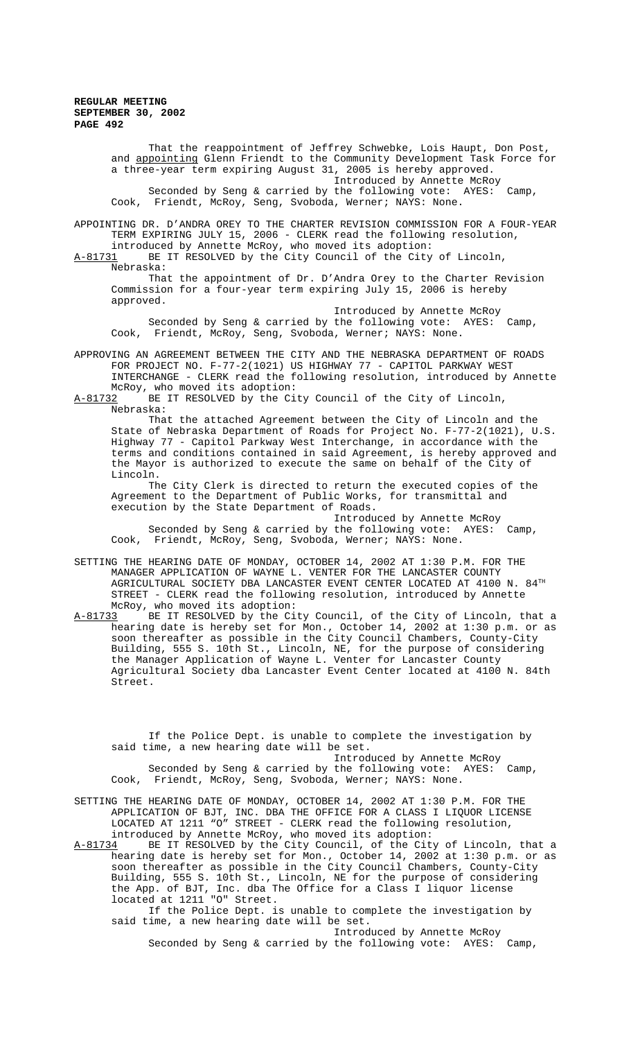> That the reappointment of Jeffrey Schwebke, Lois Haupt, Don Post, and appointing Glenn Friendt to the Community Development Task Force for a three-year term expiring August 31, 2005 is hereby approved. Introduced by Annette McRoy Seconded by Seng & carried by the following vote: AYES: Camp, Cook, Friendt, McRoy, Seng, Svoboda, Werner; NAYS: None.

APPOINTING DR. D'ANDRA OREY TO THE CHARTER REVISION COMMISSION FOR A FOUR-YEAR TERM EXPIRING JULY 15, 2006 - CLERK read the following resolution, introduced by Annette McRoy, who moved its adoption:

A-81731 BE IT RESOLVED by the City Council of the City of Lincoln, Nebraska:

That the appointment of Dr. D'Andra Orey to the Charter Revision Commission for a four-year term expiring July 15, 2006 is hereby approved.

Introduced by Annette McRoy Seconded by Seng & carried by the following vote: AYES: Camp, Cook, Friendt, McRoy, Seng, Svoboda, Werner; NAYS: None.

APPROVING AN AGREEMENT BETWEEN THE CITY AND THE NEBRASKA DEPARTMENT OF ROADS FOR PROJECT NO. F-77-2(1021) US HIGHWAY 77 - CAPITOL PARKWAY WEST INTERCHANGE - CLERK read the following resolution, introduced by Annette McRoy, who moved its adoption:<br>A-81732 BE IT RESOLVED by the Ci

BE IT RESOLVED by the City Council of the City of Lincoln, Nebraska:

That the attached Agreement between the City of Lincoln and the State of Nebraska Department of Roads for Project No. F-77-2(1021), U.S. Highway 77 - Capitol Parkway West Interchange, in accordance with the terms and conditions contained in said Agreement, is hereby approved and the Mayor is authorized to execute the same on behalf of the City of Lincoln.

The City Clerk is directed to return the executed copies of the Agreement to the Department of Public Works, for transmittal and execution by the State Department of Roads.

Introduced by Annette McRoy Seconded by Seng & carried by the following vote: AYES: Camp, Cook, Friendt, McRoy, Seng, Svoboda, Werner; NAYS: None.

SETTING THE HEARING DATE OF MONDAY, OCTOBER 14, 2002 AT 1:30 P.M. FOR THE MANAGER APPLICATION OF WAYNE L. VENTER FOR THE LANCASTER COUNTY AGRICULTURAL SOCIETY DBA LANCASTER EVENT CENTER LOCATED AT  $4100$  N.  $84^{\text{TH}}$ STREET - CLERK read the following resolution, introduced by Annette McRoy, who moved its adoption:

A-81733 BE IT RESOLVED by the City Council, of the City of Lincoln, that a hearing date is hereby set for Mon., October 14, 2002 at 1:30 p.m. or as soon thereafter as possible in the City Council Chambers, County-City Building, 555 S. 10th St., Lincoln, NE, for the purpose of considering the Manager Application of Wayne L. Venter for Lancaster County Agricultural Society dba Lancaster Event Center located at 4100 N. 84th Street.

If the Police Dept. is unable to complete the investigation by said time, a new hearing date will be set. Introduced by Annette McRoy

Seconded by Seng & carried by the following vote: AYES: Camp, Cook, Friendt, McRoy, Seng, Svoboda, Werner; NAYS: None.

SETTING THE HEARING DATE OF MONDAY, OCTOBER 14, 2002 AT 1:30 P.M. FOR THE APPLICATION OF BJT, INC. DBA THE OFFICE FOR A CLASS I LIQUOR LICENSE LOCATED AT 1211 "O" STREET - CLERK read the following resolution, introduced by Annette McRoy, who moved its adoption:

A-81734 BE IT RESOLVED by the City Council, of the City of Lincoln, that a hearing date is hereby set for Mon., October 14, 2002 at 1:30 p.m. or as soon thereafter as possible in the City Council Chambers, County-City Building, 555 S. 10th St., Lincoln, NE for the purpose of considering the App. of BJT, Inc. dba The Office for a Class I liquor license located at 1211 "O" Street.

If the Police Dept. is unable to complete the investigation by said time, a new hearing date will be set. Introduced by Annette McRoy

Seconded by Seng & carried by the following vote: AYES: Camp,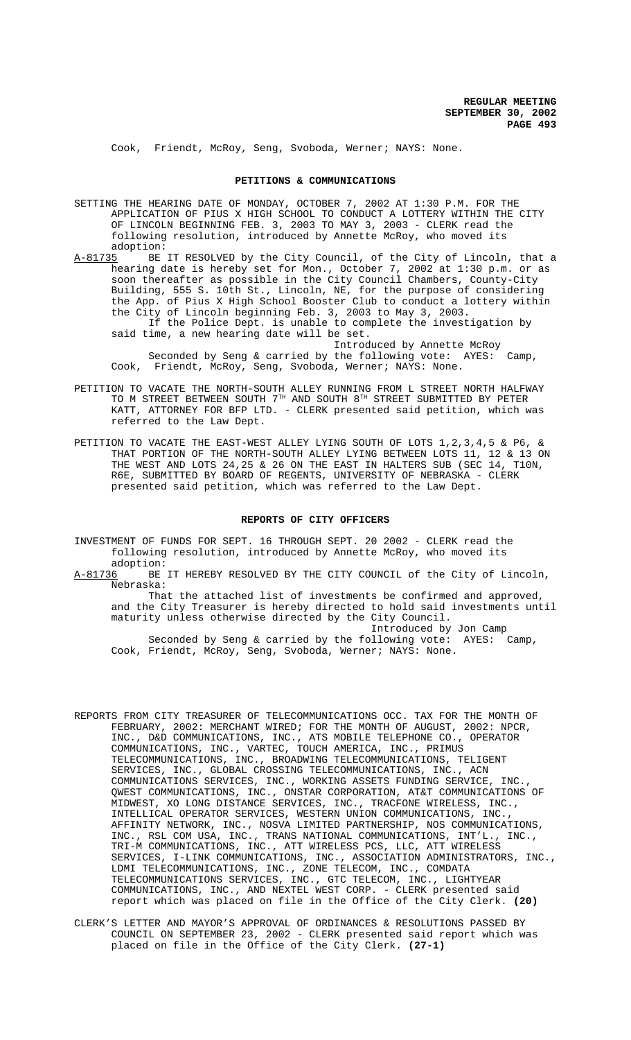Cook, Friendt, McRoy, Seng, Svoboda, Werner; NAYS: None.

### **PETITIONS & COMMUNICATIONS**

SETTING THE HEARING DATE OF MONDAY, OCTOBER 7, 2002 AT 1:30 P.M. FOR THE APPLICATION OF PIUS X HIGH SCHOOL TO CONDUCT A LOTTERY WITHIN THE CITY OF LINCOLN BEGINNING FEB. 3, 2003 TO MAY 3, 2003 - CLERK read the following resolution, introduced by Annette McRoy, who moved its adoption:

A-81735 BE IT RESOLVED by the City Council, of the City of Lincoln, that a hearing date is hereby set for Mon., October 7, 2002 at 1:30 p.m. or as soon thereafter as possible in the City Council Chambers, County-City Building, 555 S. 10th St., Lincoln, NE, for the purpose of considering the App. of Pius X High School Booster Club to conduct a lottery within the City of Lincoln beginning Feb. 3, 2003 to May 3, 2003. If the Police Dept. is unable to complete the investigation by said time, a new hearing date will be set.

Introduced by Annette McRoy Seconded by Seng & carried by the following vote: AYES: Camp, Cook, Friendt, McRoy, Seng, Svoboda, Werner; NAYS: None.

- PETITION TO VACATE THE NORTH-SOUTH ALLEY RUNNING FROM L STREET NORTH HALFWAY TO M STREET BETWEEN SOUTH 7TH AND SOUTH 8TH STREET SUBMITTED BY PETER KATT, ATTORNEY FOR BFP LTD. - CLERK presented said petition, which was referred to the Law Dept.
- PETITION TO VACATE THE EAST-WEST ALLEY LYING SOUTH OF LOTS 1,2,3,4,5 & P6, & THAT PORTION OF THE NORTH-SOUTH ALLEY LYING BETWEEN LOTS 11, 12 & 13 ON THE WEST AND LOTS 24,25 & 26 ON THE EAST IN HALTERS SUB (SEC 14, T10N, R6E, SUBMITTED BY BOARD OF REGENTS, UNIVERSITY OF NEBRASKA - CLERK presented said petition, which was referred to the Law Dept.

#### **REPORTS OF CITY OFFICERS**

INVESTMENT OF FUNDS FOR SEPT. 16 THROUGH SEPT. 20 2002 - CLERK read the following resolution, introduced by Annette McRoy, who moved its

adoption:<br><u>A-81736</u> BE BE IT HEREBY RESOLVED BY THE CITY COUNCIL of the City of Lincoln, Nebraska:

That the attached list of investments be confirmed and approved, and the City Treasurer is hereby directed to hold said investments until maturity unless otherwise directed by the City Council. Introduced by Jon Camp

Seconded by Seng & carried by the following vote: AYES: Camp, Cook, Friendt, McRoy, Seng, Svoboda, Werner; NAYS: None.

- REPORTS FROM CITY TREASURER OF TELECOMMUNICATIONS OCC. TAX FOR THE MONTH OF FEBRUARY, 2002: MERCHANT WIRED; FOR THE MONTH OF AUGUST, 2002: NPCR, INC., D&D COMMUNICATIONS, INC., ATS MOBILE TELEPHONE CO., OPERATOR COMMUNICATIONS, INC., VARTEC, TOUCH AMERICA, INC., PRIMUS TELECOMMUNICATIONS, INC., BROADWING TELECOMMUNICATIONS, TELIGENT SERVICES, INC., GLOBAL CROSSING TELECOMMUNICATIONS, INC., ACN COMMUNICATIONS SERVICES, INC., WORKING ASSETS FUNDING SERVICE, INC., QWEST COMMUNICATIONS, INC., ONSTAR CORPORATION, AT&T COMMUNICATIONS OF MIDWEST, XO LONG DISTANCE SERVICES, INC., TRACFONE WIRELESS, INC., INTELLICAL OPERATOR SERVICES, WESTERN UNION COMMUNICATIONS, INC., AFFINITY NETWORK, INC., NOSVA LIMITED PARTNERSHIP, NOS COMMUNICATIONS, INC., RSL COM USA, INC., TRANS NATIONAL COMMUNICATIONS, INT'L., INC., TRI-M COMMUNICATIONS, INC., ATT WIRELESS PCS, LLC, ATT WIRELESS SERVICES, I-LINK COMMUNICATIONS, INC., ASSOCIATION ADMINISTRATORS, INC., LDMI TELECOMMUNICATIONS, INC., ZONE TELECOM, INC., COMDATA TELECOMMUNICATIONS SERVICES, INC., GTC TELECOM, INC., LIGHTYEAR COMMUNICATIONS, INC., AND NEXTEL WEST CORP. - CLERK presented said report which was placed on file in the Office of the City Clerk. **(20)**
- CLERK'S LETTER AND MAYOR'S APPROVAL OF ORDINANCES & RESOLUTIONS PASSED BY COUNCIL ON SEPTEMBER 23, 2002 - CLERK presented said report which was placed on file in the Office of the City Clerk. **(27-1)**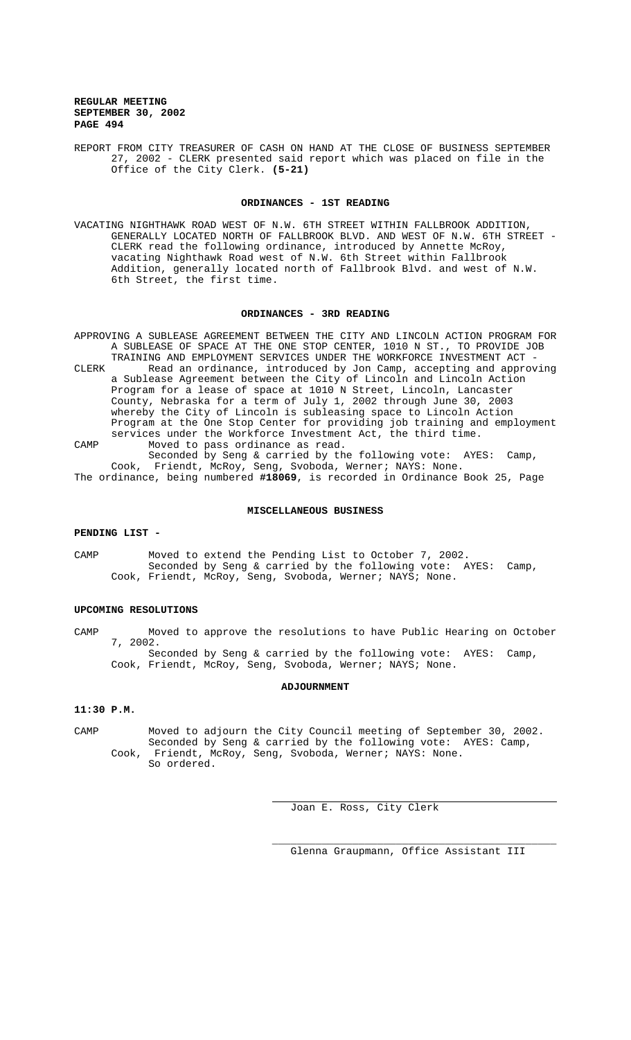REPORT FROM CITY TREASURER OF CASH ON HAND AT THE CLOSE OF BUSINESS SEPTEMBER 27, 2002 - CLERK presented said report which was placed on file in the Office of the City Clerk. **(5-21)**

#### **ORDINANCES - 1ST READING**

VACATING NIGHTHAWK ROAD WEST OF N.W. 6TH STREET WITHIN FALLBROOK ADDITION, GENERALLY LOCATED NORTH OF FALLBROOK BLVD. AND WEST OF N.W. 6TH STREET - CLERK read the following ordinance, introduced by Annette McRoy, vacating Nighthawk Road west of N.W. 6th Street within Fallbrook Addition, generally located north of Fallbrook Blvd. and west of N.W. 6th Street, the first time.

#### **ORDINANCES - 3RD READING**

APPROVING A SUBLEASE AGREEMENT BETWEEN THE CITY AND LINCOLN ACTION PROGRAM FOR A SUBLEASE OF SPACE AT THE ONE STOP CENTER, 1010 N ST., TO PROVIDE JOB TRAINING AND EMPLOYMENT SERVICES UNDER THE WORKFORCE INVESTMENT ACT - CLERK Read an ordinance, introduced by Jon Camp, accepting and approving a Sublease Agreement between the City of Lincoln and Lincoln Action Program for a lease of space at 1010 N Street, Lincoln, Lancaster County, Nebraska for a term of July 1, 2002 through June 30, 2003 whereby the City of Lincoln is subleasing space to Lincoln Action Program at the One Stop Center for providing job training and employment services under the Workforce Investment Act, the third time. CAMP Moved to pass ordinance as read. Seconded by Seng & carried by the following vote: AYES: Camp,

Cook, Friendt, McRoy, Seng, Svoboda, Werner; NAYS: None. The ordinance, being numbered **#18069**, is recorded in Ordinance Book 25, Page

# **MISCELLANEOUS BUSINESS**

#### **PENDING LIST -**

CAMP Moved to extend the Pending List to October 7, 2002. Seconded by Seng & carried by the following vote: AYES: Camp, Cook, Friendt, McRoy, Seng, Svoboda, Werner; NAYS; None.

# **UPCOMING RESOLUTIONS**

CAMP Moved to approve the resolutions to have Public Hearing on October 7, 2002.

Seconded by Seng & carried by the following vote: AYES: Camp, Cook, Friendt, McRoy, Seng, Svoboda, Werner; NAYS; None.

## **ADJOURNMENT**

#### **11:30 P.M.**

CAMP Moved to adjourn the City Council meeting of September 30, 2002. Seconded by Seng & carried by the following vote: AYES: Camp, Cook, Friendt, McRoy, Seng, Svoboda, Werner; NAYS: None. So ordered.

 $\overline{a}$ 

Joan E. Ross, City Clerk

\_\_\_\_\_\_\_\_\_\_\_\_\_\_\_\_\_\_\_\_\_\_\_\_\_\_\_\_\_\_\_\_\_\_\_\_\_\_\_\_\_\_\_\_\_\_ Glenna Graupmann, Office Assistant III